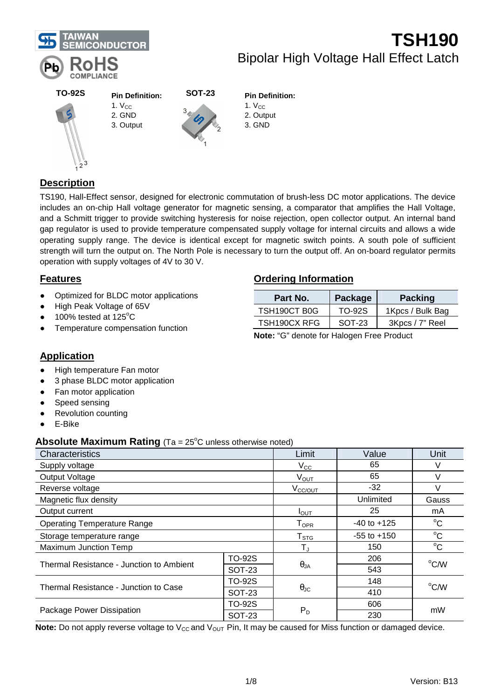

#### **TO-92S SOT-23** **Pin Definition:**

- $1. V<sub>CC</sub>$ 2. GND
- 3. Output



### **Pin Definition:**

- $1. V<sub>CC</sub>$ 2. Output
- 3. GND

## **Description**

TS190, Hall-Effect sensor, designed for electronic commutation of brush-less DC motor applications. The device includes an on-chip Hall voltage generator for magnetic sensing, a comparator that amplifies the Hall Voltage, and a Schmitt trigger to provide switching hysteresis for noise rejection, open collector output. An internal band gap regulator is used to provide temperature compensated supply voltage for internal circuits and allows a wide operating supply range. The device is identical except for magnetic switch points. A south pole of sufficient strength will turn the output on. The North Pole is necessary to turn the output off. An on-board regulator permits operation with supply voltages of 4V to 30 V.

### **Features**

- Optimized for BLDC motor applications
- High Peak Voltage of 65V
- 100% tested at  $125^{\circ}$ C
- Temperature compensation function

### **Ordering Information**

| Part No.     | Package  | <b>Packing</b>   |  |  |  |
|--------------|----------|------------------|--|--|--|
| TSH190CT B0G | TO-92S   | 1Kpcs / Bulk Bag |  |  |  |
| TSH190CX RFG | $SOT-23$ | 3Kpcs / 7" Reel  |  |  |  |

**Note:** "G" denote for Halogen Free Product

### **Application**

- High temperature Fan motor
- 3 phase BLDC motor application
- Fan motor application
- Speed sensing
- **Revolution counting**
- E-Bike

### **Absolute Maximum Rating** (Ta = 25<sup>°</sup>C unless otherwise noted)

| ັ່                                       |                    |                      |             |                |  |
|------------------------------------------|--------------------|----------------------|-------------|----------------|--|
| Characteristics                          | Limit              | Value                | Unit        |                |  |
| Supply voltage                           |                    | $V_{\rm CC}$         | 65          | V              |  |
| <b>Output Voltage</b>                    |                    | $V_{OUT}$            | 65          | $\vee$         |  |
| Reverse voltage                          |                    | V <sub>CC/OUT</sub>  | $-32$       | V              |  |
| Magnetic flux density                    |                    |                      | Unlimited   | Gauss          |  |
| Output current                           | $I_{\text{OUT}}$   | 25                   |             |                |  |
| <b>Operating Temperature Range</b>       | $T_{\mathsf{OPR}}$ | $-40$ to $+125$      | $^{\circ}C$ |                |  |
| Storage temperature range                | $T_{STG}$          | $-55$ to $+150$      | $^{\circ}C$ |                |  |
| <b>Maximum Junction Temp</b>             | T,                 | 150                  | $^{\circ}C$ |                |  |
| Thermal Resistance - Junction to Ambient | <b>TO-92S</b>      |                      | 206         | $^{\circ}$ C/W |  |
|                                          | <b>SOT-23</b>      | $\theta_{JA}$        | 543         |                |  |
|                                          | <b>TO-92S</b>      |                      | 148         | °C/W           |  |
| Thermal Resistance - Junction to Case    | <b>SOT-23</b>      | $\theta_{\text{JC}}$ | 410         |                |  |
|                                          | <b>TO-92S</b>      |                      | 606         |                |  |
| Package Power Dissipation                | <b>SOT-23</b>      | $P_D$                | 230         | mW             |  |

**Note:** Do not apply reverse voltage to V<sub>CC</sub> and V<sub>OUT</sub> Pin, It may be caused for Miss function or damaged device.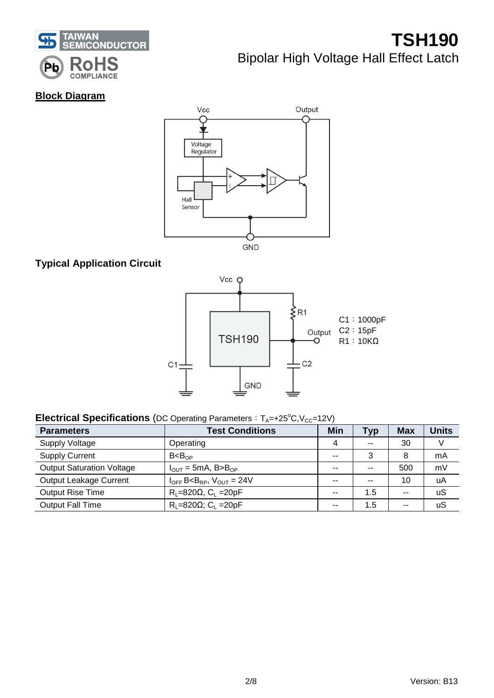

### **Block Diagram**



### **Typical Application Circuit**



### **Electrical Specifications** (DC Operating Parameters: T<sub>A</sub>=+25°C, V<sub>CC</sub>=12V)

| <b>Parameters</b>                | <b>Test Conditions</b>                                    | <b>Min</b>    | <b>Typ</b>    | <b>Max</b> | <b>Units</b> |
|----------------------------------|-----------------------------------------------------------|---------------|---------------|------------|--------------|
| <b>Supply Voltage</b>            | Operating                                                 | 4             | $\sim$        | 30         |              |
| <b>Supply Current</b>            | B < B <sub>OP</sub>                                       | $\sim$ $\sim$ | 3             | 8          | mA           |
| <b>Output Saturation Voltage</b> | $I_{\text{OUT}} = 5 \text{mA}$ , B>B <sub>OP</sub>        | $-$           | $\sim$ $\sim$ | 500        | mV           |
| Output Leakage Current           | $I_{OFF}$ B <b<sub>RP, <math>V_{OUT}</math> = 24V</b<sub> | $-$           | --            | 10         | uA           |
| <b>Output Rise Time</b>          | $R_1 = 820 \Omega$ , $C_1 = 20pF$                         | $-$           | $1.5^{\circ}$ | $-$        | uS           |
| <b>Output Fall Time</b>          | $R_1 = 820 \Omega$ ; C <sub>1</sub> = 20pF                | $-$           | 1.5           | --         | uS           |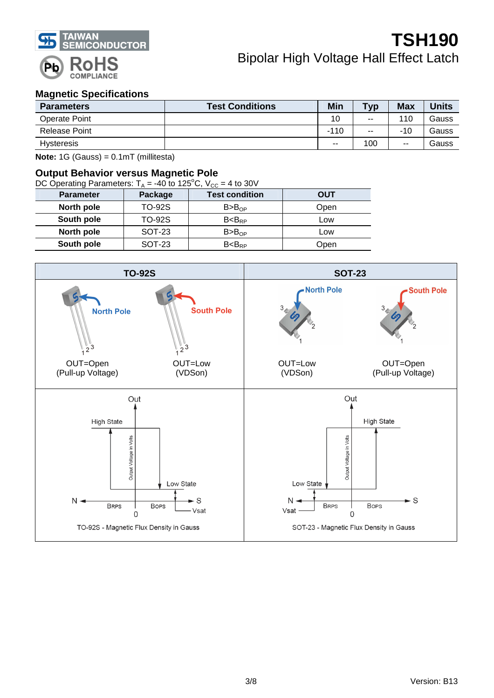

#### **Magnetic Specifications**

| <b>Parameters</b>    | <b>Test Conditions</b> | Min    | <b>Typ</b> | <b>Max</b> | Units |
|----------------------|------------------------|--------|------------|------------|-------|
| <b>Operate Point</b> |                        | 10     | $- -$      | 110        | Gauss |
| Release Point        |                        | $-110$ | $- -$      | $-10$      | Gauss |
| Hysteresis           |                        | $- -$  | 100        | --         | Gauss |

**Note:** 1G (Gauss) = 0.1mT (millitesta)

#### **Output Behavior versus Magnetic Pole**

| DC Operating Parameters: $T_A = -40$ to 125°C, $V_{CC} = 4$ to 30V |               |                       |            |  |  |  |  |  |
|--------------------------------------------------------------------|---------------|-----------------------|------------|--|--|--|--|--|
| <b>Parameter</b>                                                   | Package       | <b>Test condition</b> | <b>OUT</b> |  |  |  |  |  |
| North pole                                                         | <b>TO-92S</b> | B > B <sub>OP</sub>   | Open       |  |  |  |  |  |
| South pole                                                         | <b>TO-92S</b> | $B < B_{RP}$          | Low        |  |  |  |  |  |
| North pole                                                         | <b>SOT-23</b> | B > B <sub>OP</sub>   | Low        |  |  |  |  |  |
| South pole                                                         | SOT-23        | $B < B_{RP}$          | Open       |  |  |  |  |  |

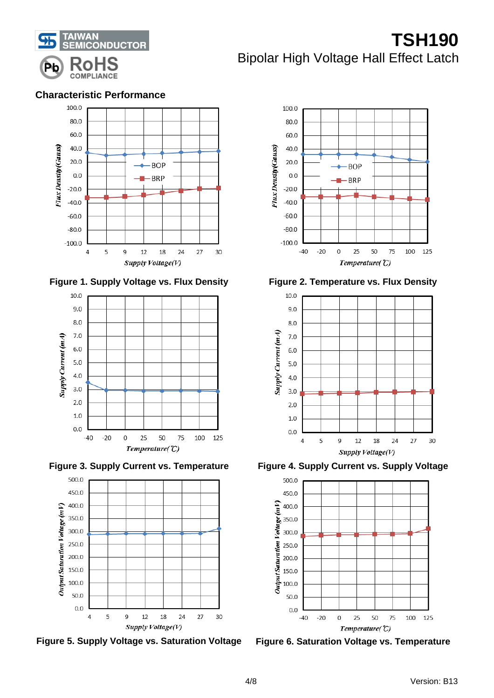

#### **Characteristic Performance**

















**Figure 3. Supply Current vs. Temperature Figure 4. Supply Current vs. Supply Voltage**

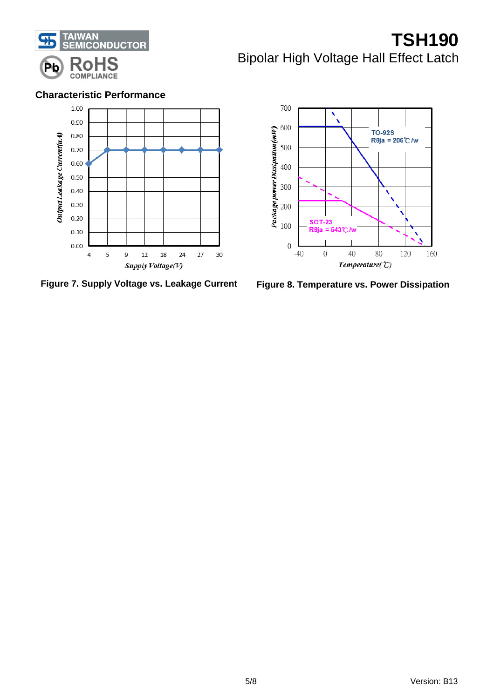

#### **Characteristic Performance**



**Figure 7. Supply Voltage vs. Leakage Current Figure 8. Temperature vs. Power Dissipation**

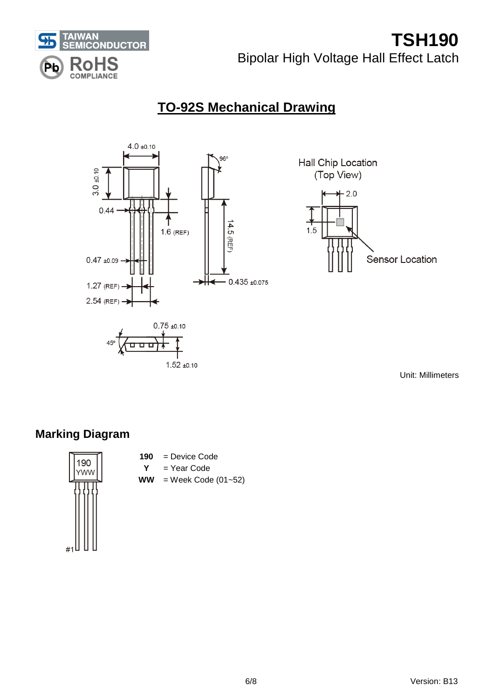

# **TO-92S Mechanical Drawing**





Unit: Millimeters

# **Marking Diagram**



**190** = Device Code

 $1.52 + 0.10$ 

- **Y** = Year Code
- $WW =$  Week Code (01~52)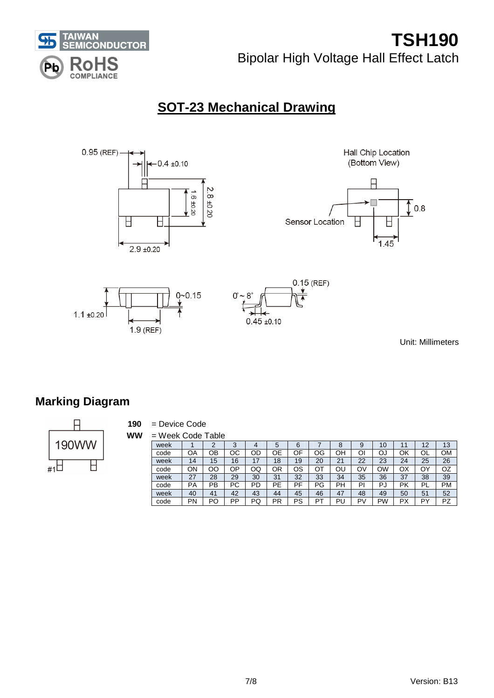

# **SOT-23 Mechanical Drawing**



Unit: Millimeters

# **Marking Diagram**



**190** = Device Code

**WW** = Week Code Table

| week |                    |    | $\sim$  |         | э       | o        |    |         | 9  | ΙU      |                    |                | 13 |
|------|--------------------|----|---------|---------|---------|----------|----|---------|----|---------|--------------------|----------------|----|
| code | OΑ                 | OВ | ОC      | ОC      | า⊧      | OF       | OG | OН      | Oı | О.      | ОK                 | ◡∟             | ΟM |
| week | 14                 | 15 | 16      |         | 8       | 19       | 20 | n,<br>∠ | 22 | 23      | 24                 | 25             | 26 |
| code | OΝ                 | OΟ | ОP      | OQ      | ΟR      | ОS       | דר | ΟL      | O٧ | OW      | ОX                 | O٢             | OZ |
| week | $\mathcal{L}$<br>ے | 28 | 29      | 30      | 21<br>ື | 32       | 33 | 34      | 35 | 36      | 37                 | 38             | 39 |
| code | PA                 | PB | D∩<br>ີ | PD      | ᇛ       | РF<br>гι | РG | РH      | P  | P<br>г. | Pk                 | PI             | PM |
| week | 40                 | 41 | 42      | 43      | 44      | 45       | 46 | 47      | 48 | 49      | 50                 | 5 <sup>1</sup> | 52 |
| code | PN                 | PO | DD      | DГ<br>w | DD<br>  | PS       | nт | ÞI<br>∼ | D١ | PW      | D,<br>$\mathbf{r}$ | ים             | PZ |